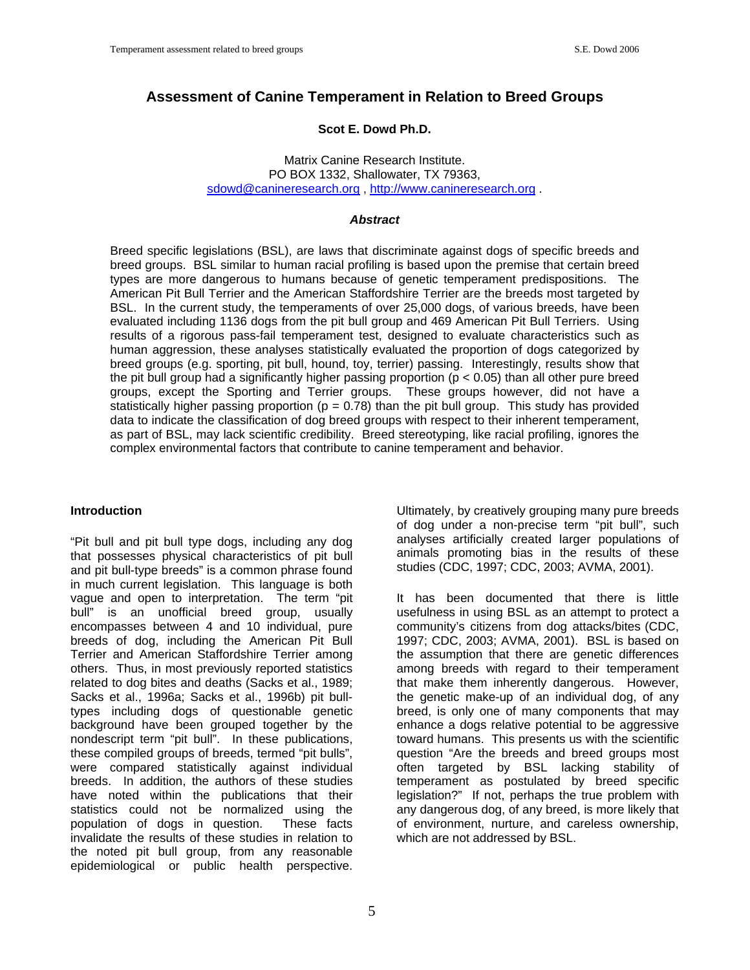# **Assessment of Canine Temperament in Relation to Breed Groups**

## **Scot E. Dowd Ph.D.**

Matrix Canine Research Institute. PO BOX 1332, Shallowater, TX 79363, sdowd@canineresearch.org, [http://www.canineresearch.org](http://www.canineresearch.org/).

#### *Abstract*

Breed specific legislations (BSL), are laws that discriminate against dogs of specific breeds and breed groups. BSL similar to human racial profiling is based upon the premise that certain breed types are more dangerous to humans because of genetic temperament predispositions. The American Pit Bull Terrier and the American Staffordshire Terrier are the breeds most targeted by BSL. In the current study, the temperaments of over 25,000 dogs, of various breeds, have been evaluated including 1136 dogs from the pit bull group and 469 American Pit Bull Terriers. Using results of a rigorous pass-fail temperament test, designed to evaluate characteristics such as human aggression, these analyses statistically evaluated the proportion of dogs categorized by breed groups (e.g. sporting, pit bull, hound, toy, terrier) passing. Interestingly, results show that the pit bull group had a significantly higher passing proportion ( $p < 0.05$ ) than all other pure breed groups, except the Sporting and Terrier groups. These groups however, did not have a statistically higher passing proportion ( $p = 0.78$ ) than the pit bull group. This study has provided data to indicate the classification of dog breed groups with respect to their inherent temperament, as part of BSL, may lack scientific credibility. Breed stereotyping, like racial profiling, ignores the complex environmental factors that contribute to canine temperament and behavior.

#### **Introduction**

"Pit bull and pit bull type dogs, including any dog that possesses physical characteristics of pit bull and pit bull-type breeds" is a common phrase found in much current legislation. This language is both vague and open to interpretation. The term "pit bull" is an unofficial breed group, usually encompasses between 4 and 10 individual, pure breeds of dog, including the American Pit Bull Terrier and American Staffordshire Terrier among others. Thus, in most previously reported statistics related to dog bites and deaths (Sacks et al., 1989; Sacks et al., 1996a; Sacks et al., 1996b) pit bulltypes including dogs of questionable genetic background have been grouped together by the nondescript term "pit bull". In these publications, these compiled groups of breeds, termed "pit bulls", were compared statistically against individual breeds. In addition, the authors of these studies have noted within the publications that their statistics could not be normalized using the population of dogs in question. These facts invalidate the results of these studies in relation to the noted pit bull group, from any reasonable epidemiological or public health perspective.

5

Ultimately, by creatively grouping many pure breeds of dog under a non-precise term "pit bull", such analyses artificially created larger populations of animals promoting bias in the results of these studies (CDC, 1997; CDC, 2003; AVMA, 2001).

It has been documented that there is little usefulness in using BSL as an attempt to protect a community's citizens from dog attacks/bites (CDC, 1997; CDC, 2003; AVMA, 2001). BSL is based on the assumption that there are genetic differences among breeds with regard to their temperament that make them inherently dangerous. However, the genetic make-up of an individual dog, of any breed, is only one of many components that may enhance a dogs relative potential to be aggressive toward humans. This presents us with the scientific question "Are the breeds and breed groups most often targeted by BSL lacking stability of temperament as postulated by breed specific legislation?" If not, perhaps the true problem with any dangerous dog, of any breed, is more likely that of environment, nurture, and careless ownership, which are not addressed by BSL.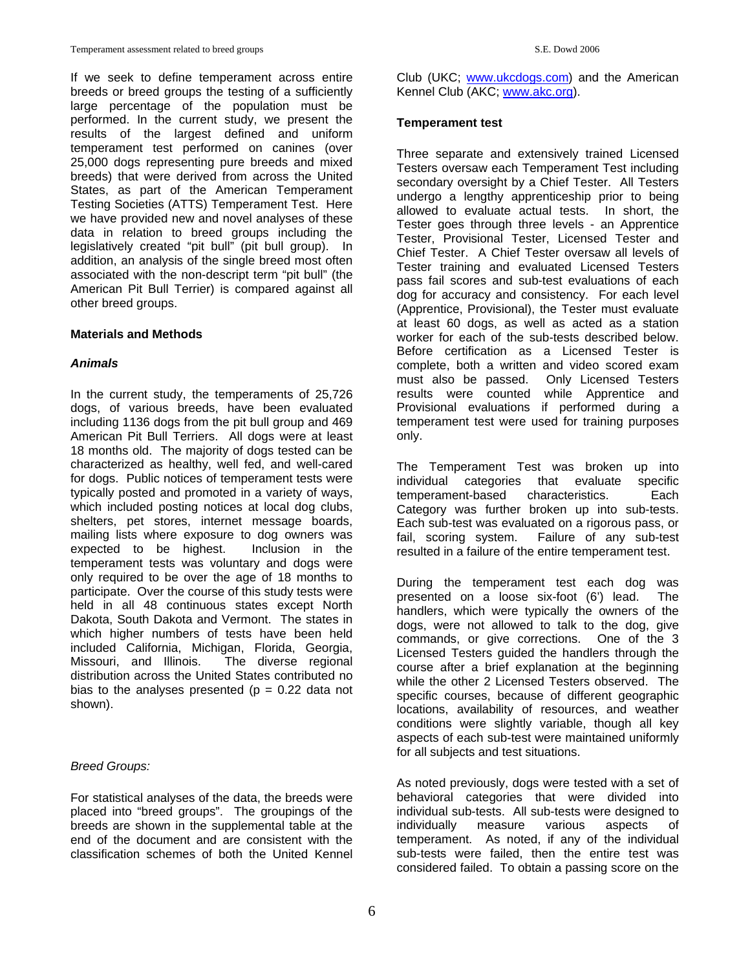If we seek to define temperament across entire breeds or breed groups the testing of a sufficiently large percentage of the population must be performed. In the current study, we present the results of the largest defined and uniform temperament test performed on canines (over 25,000 dogs representing pure breeds and mixed breeds) that were derived from across the United States, as part of the American Temperament Testing Societies (ATTS) Temperament Test. Here we have provided new and novel analyses of these data in relation to breed groups including the legislatively created "pit bull" (pit bull group). In addition, an analysis of the single breed most often associated with the non-descript term "pit bull" (the American Pit Bull Terrier) is compared against all other breed groups.

### **Materials and Methods**

### *Animals*

In the current study, the temperaments of 25,726 dogs, of various breeds, have been evaluated including 1136 dogs from the pit bull group and 469 American Pit Bull Terriers. All dogs were at least 18 months old. The majority of dogs tested can be characterized as healthy, well fed, and well-cared for dogs. Public notices of temperament tests were typically posted and promoted in a variety of ways, which included posting notices at local dog clubs, shelters, pet stores, internet message boards, mailing lists where exposure to dog owners was<br>expected to be highest. Inclusion in the expected to be highest. temperament tests was voluntary and dogs were only required to be over the age of 18 months to participate. Over the course of this study tests were held in all 48 continuous states except North Dakota, South Dakota and Vermont. The states in which higher numbers of tests have been held included California, Michigan, Florida, Georgia, Missouri, and Illinois. The diverse regional distribution across the United States contributed no bias to the analyses presented ( $p = 0.22$  data not shown).

## *Breed Groups:*

For statistical analyses of the data, the breeds were placed into "breed groups". The groupings of the breeds are shown in the supplemental table at the end of the document and are consistent with the classification schemes of both the United Kennel

Club (UKC; [www.ukcdogs.com](http://www.ukcdogs.com/)) and the American Kennel Club (AKC; [www.akc.org](http://www.akc.org/)).

#### **Temperament test**

Three separate and extensively trained Licensed Testers oversaw each Temperament Test including secondary oversight by a Chief Tester. All Testers undergo a lengthy apprenticeship prior to being allowed to evaluate actual tests. In short, the Tester goes through three levels - an Apprentice Tester, Provisional Tester, Licensed Tester and Chief Tester. A Chief Tester oversaw all levels of Tester training and evaluated Licensed Testers pass fail scores and sub-test evaluations of each dog for accuracy and consistency. For each level (Apprentice, Provisional), the Tester must evaluate at least 60 dogs, as well as acted as a station worker for each of the sub-tests described below. Before certification as a Licensed Tester is complete, both a written and video scored exam must also be passed. Only Licensed Testers results were counted while Apprentice and Provisional evaluations if performed during a temperament test were used for training purposes only.

The Temperament Test was broken up into individual categories that evaluate specific temperament-based characteristics. Each Category was further broken up into sub-tests. Each sub-test was evaluated on a rigorous pass, or fail, scoring system. Failure of any sub-test resulted in a failure of the entire temperament test.

During the temperament test each dog was presented on a loose six-foot (6') lead. The handlers, which were typically the owners of the dogs, were not allowed to talk to the dog, give commands, or give corrections. One of the 3 Licensed Testers guided the handlers through the course after a brief explanation at the beginning while the other 2 Licensed Testers observed. The specific courses, because of different geographic locations, availability of resources, and weather conditions were slightly variable, though all key aspects of each sub-test were maintained uniformly for all subjects and test situations.

As noted previously, dogs were tested with a set of behavioral categories that were divided into individual sub-tests. All sub-tests were designed to individually measure various aspects of temperament. As noted, if any of the individual sub-tests were failed, then the entire test was considered failed. To obtain a passing score on the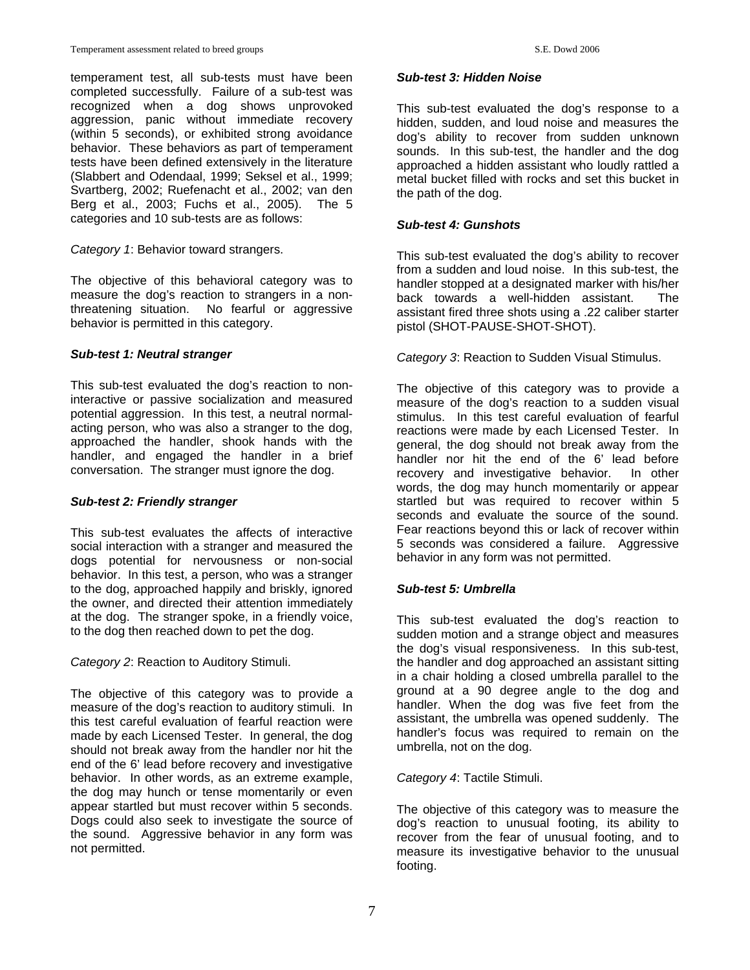temperament test, all sub-tests must have been completed successfully. Failure of a sub-test was recognized when a dog shows unprovoked aggression, panic without immediate recovery (within 5 seconds), or exhibited strong avoidance behavior. These behaviors as part of temperament tests have been defined extensively in the literature (Slabbert and Odendaal, 1999; Seksel et al., 1999; Svartberg, 2002; Ruefenacht et al., 2002; van den Berg et al., 2003; Fuchs et al., 2005). The 5 categories and 10 sub-tests are as follows:

*Category 1*: Behavior toward strangers.

The objective of this behavioral category was to measure the dog's reaction to strangers in a nonthreatening situation. No fearful or aggressive behavior is permitted in this category.

### *Sub-test 1: Neutral stranger*

This sub-test evaluated the dog's reaction to noninteractive or passive socialization and measured potential aggression. In this test, a neutral normalacting person, who was also a stranger to the dog, approached the handler, shook hands with the handler, and engaged the handler in a brief conversation. The stranger must ignore the dog.

#### *Sub-test 2: Friendly stranger*

This sub-test evaluates the affects of interactive social interaction with a stranger and measured the dogs potential for nervousness or non-social behavior. In this test, a person, who was a stranger to the dog, approached happily and briskly, ignored the owner, and directed their attention immediately at the dog. The stranger spoke, in a friendly voice, to the dog then reached down to pet the dog.

*Category 2*: Reaction to Auditory Stimuli.

The objective of this category was to provide a measure of the dog's reaction to auditory stimuli. In this test careful evaluation of fearful reaction were made by each Licensed Tester. In general, the dog should not break away from the handler nor hit the end of the 6' lead before recovery and investigative behavior. In other words, as an extreme example, the dog may hunch or tense momentarily or even appear startled but must recover within 5 seconds. Dogs could also seek to investigate the source of the sound. Aggressive behavior in any form was not permitted.

#### *Sub-test 3: Hidden Noise*

This sub-test evaluated the dog's response to a hidden, sudden, and loud noise and measures the dog's ability to recover from sudden unknown sounds. In this sub-test, the handler and the dog approached a hidden assistant who loudly rattled a metal bucket filled with rocks and set this bucket in the path of the dog.

### *Sub-test 4: Gunshots*

This sub-test evaluated the dog's ability to recover from a sudden and loud noise. In this sub-test, the handler stopped at a designated marker with his/her back towards a well-hidden assistant. The assistant fired three shots using a .22 caliber starter pistol (SHOT-PAUSE-SHOT-SHOT).

*Category 3*: Reaction to Sudden Visual Stimulus.

The objective of this category was to provide a measure of the dog's reaction to a sudden visual stimulus. In this test careful evaluation of fearful reactions were made by each Licensed Tester. In general, the dog should not break away from the handler nor hit the end of the 6' lead before recovery and investigative behavior. In other words, the dog may hunch momentarily or appear startled but was required to recover within 5 seconds and evaluate the source of the sound. Fear reactions beyond this or lack of recover within 5 seconds was considered a failure. Aggressive behavior in any form was not permitted.

## *Sub-test 5: Umbrella*

This sub-test evaluated the dog's reaction to sudden motion and a strange object and measures the dog's visual responsiveness. In this sub-test, the handler and dog approached an assistant sitting in a chair holding a closed umbrella parallel to the ground at a 90 degree angle to the dog and handler. When the dog was five feet from the assistant, the umbrella was opened suddenly. The handler's focus was required to remain on the umbrella, not on the dog.

*Category 4*: Tactile Stimuli.

The objective of this category was to measure the dog's reaction to unusual footing, its ability to recover from the fear of unusual footing, and to measure its investigative behavior to the unusual footing.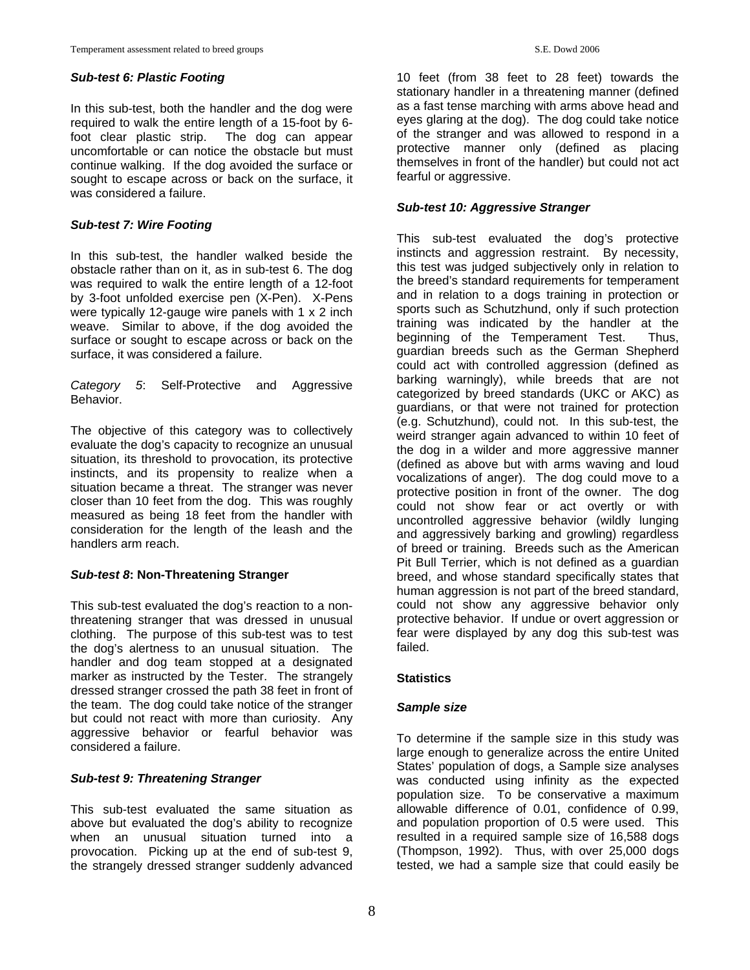#### *Sub-test 6: Plastic Footing*

In this sub-test, both the handler and the dog were required to walk the entire length of a 15-foot by 6 foot clear plastic strip. The dog can appear uncomfortable or can notice the obstacle but must continue walking. If the dog avoided the surface or sought to escape across or back on the surface, it was considered a failure.

## *Sub-test 7: Wire Footing*

In this sub-test, the handler walked beside the obstacle rather than on it, as in sub-test 6. The dog was required to walk the entire length of a 12-foot by 3-foot unfolded exercise pen (X-Pen). X-Pens were typically 12-gauge wire panels with 1 x 2 inch weave. Similar to above, if the dog avoided the surface or sought to escape across or back on the surface, it was considered a failure.

*Category 5*: Self-Protective and Aggressive Behavior.

The objective of this category was to collectively evaluate the dog's capacity to recognize an unusual situation, its threshold to provocation, its protective instincts, and its propensity to realize when a situation became a threat. The stranger was never closer than 10 feet from the dog. This was roughly measured as being 18 feet from the handler with consideration for the length of the leash and the handlers arm reach.

## *Sub-test 8***: Non-Threatening Stranger**

This sub-test evaluated the dog's reaction to a nonthreatening stranger that was dressed in unusual clothing. The purpose of this sub-test was to test the dog's alertness to an unusual situation. The handler and dog team stopped at a designated marker as instructed by the Tester. The strangely dressed stranger crossed the path 38 feet in front of the team. The dog could take notice of the stranger but could not react with more than curiosity. Any aggressive behavior or fearful behavior was considered a failure.

## *Sub-test 9: Threatening Stranger*

This sub-test evaluated the same situation as above but evaluated the dog's ability to recognize when an unusual situation turned into a provocation. Picking up at the end of sub-test 9, the strangely dressed stranger suddenly advanced

10 feet (from 38 feet to 28 feet) towards the stationary handler in a threatening manner (defined as a fast tense marching with arms above head and eyes glaring at the dog). The dog could take notice of the stranger and was allowed to respond in a protective manner only (defined as placing themselves in front of the handler) but could not act fearful or aggressive.

## *Sub-test 10: Aggressive Stranger*

This sub-test evaluated the dog's protective instincts and aggression restraint. By necessity, this test was judged subjectively only in relation to the breed's standard requirements for temperament and in relation to a dogs training in protection or sports such as Schutzhund, only if such protection training was indicated by the handler at the beginning of the Temperament Test. Thus, guardian breeds such as the German Shepherd could act with controlled aggression (defined as barking warningly), while breeds that are not categorized by breed standards (UKC or AKC) as guardians, or that were not trained for protection (e.g. Schutzhund), could not. In this sub-test, the weird stranger again advanced to within 10 feet of the dog in a wilder and more aggressive manner (defined as above but with arms waving and loud vocalizations of anger). The dog could move to a protective position in front of the owner. The dog could not show fear or act overtly or with uncontrolled aggressive behavior (wildly lunging and aggressively barking and growling) regardless of breed or training. Breeds such as the American Pit Bull Terrier, which is not defined as a guardian breed, and whose standard specifically states that human aggression is not part of the breed standard, could not show any aggressive behavior only protective behavior. If undue or overt aggression or fear were displayed by any dog this sub-test was failed.

## **Statistics**

## *Sample size*

To determine if the sample size in this study was large enough to generalize across the entire United States' population of dogs, a Sample size analyses was conducted using infinity as the expected population size. To be conservative a maximum allowable difference of 0.01, confidence of 0.99, and population proportion of 0.5 were used. This resulted in a required sample size of 16,588 dogs (Thompson, 1992). Thus, with over 25,000 dogs tested, we had a sample size that could easily be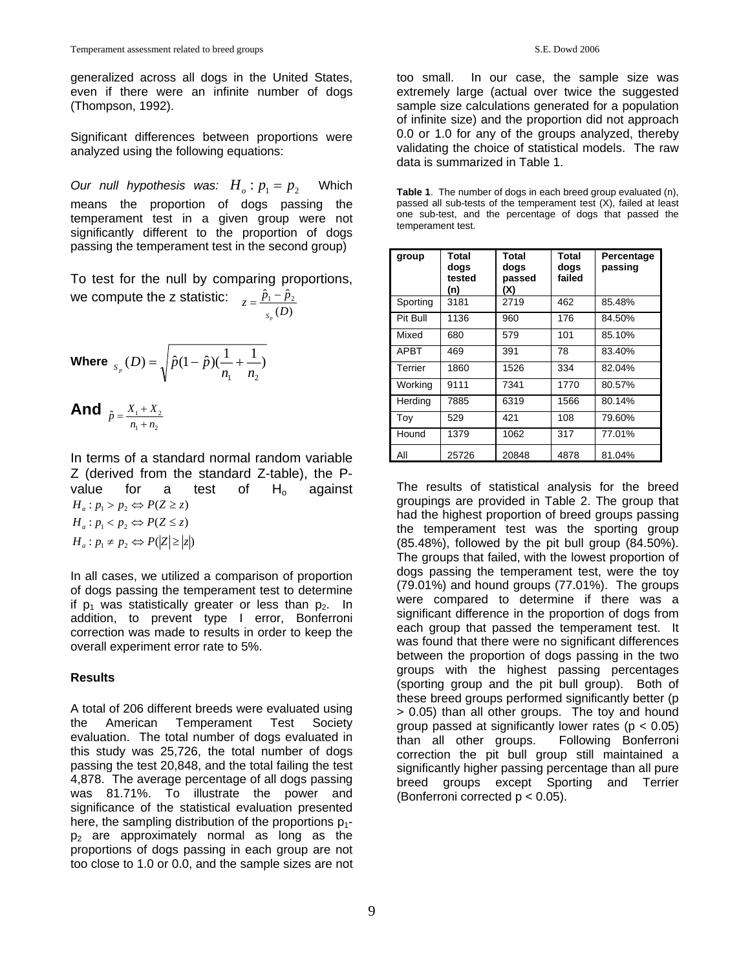generalized across all dogs in the United States, even if there were an infinite number of dogs (Thompson, 1992).

Significant differences between proportions were analyzed using the following equations:

Our null hypothesis was:  $H_o: p_1 = p_2$  Which means the proportion of dogs passing the temperament test in a given group were not significantly different to the proportion of dogs passing the temperament test in the second group)

To test for the null by comparing proportions, we compute the z statistic:  $(D)$  $\hat{p}_1 - \hat{p}_2$ *D*  $z = \frac{\hat{p}_1 - \hat{p}}{2}$  $=\frac{\hat{p}_1 -$ 

*p S*

Where 
$$
s_p(D) = \sqrt{\hat{p}(1-\hat{p})(\frac{1}{n_1} + \frac{1}{n_2})}
$$

**And**  $\hat{p} = \frac{X_1 + X_2}{n_1 + n_2}$ 

In terms of a standard normal random variable Z (derived from the standard Z-table), the Pvalue for a test of  $H_0$  against  $H_a: p_1 \neq p_2 \Leftrightarrow P(|Z| \geq |z|)$  $H_a: p_1 < p_2 \Leftrightarrow P(Z \leq z)$  $H_a: p_1 > p_2 \Leftrightarrow P(Z \geq z)$ 

In all cases, we utilized a comparison of proportion of dogs passing the temperament test to determine if  $p_1$  was statistically greater or less than  $p_2$ . In addition, to prevent type I error, Bonferroni correction was made to results in order to keep the overall experiment error rate to 5%.

# **Results**

A total of 206 different breeds were evaluated using the American Temperament Test Society evaluation. The total number of dogs evaluated in this study was 25,726, the total number of dogs passing the test 20,848, and the total failing the test 4,878. The average percentage of all dogs passing was 81.71%. To illustrate the power and significance of the statistical evaluation presented here, the sampling distribution of the proportions  $p_1$  $p_2$  are approximately normal as long as the proportions of dogs passing in each group are not too close to 1.0 or 0.0, and the sample sizes are not too small. In our case, the sample size was extremely large (actual over twice the suggested sample size calculations generated for a population of infinite size) and the proportion did not approach 0.0 or 1.0 for any of the groups analyzed, thereby validating the choice of statistical models. The raw data is summarized in Table 1.

**Table 1**. The number of dogs in each breed group evaluated (n), passed all sub-tests of the temperament test (X), failed at least one sub-test, and the percentage of dogs that passed the temperament test.

| group       | Total<br>dogs<br>tested<br>(n) | Total<br>dogs<br>passed<br>(X) | Total<br>dogs<br>failed | Percentage<br>passing |
|-------------|--------------------------------|--------------------------------|-------------------------|-----------------------|
| Sporting    | 3181                           | 2719                           | 462                     | 85.48%                |
| Pit Bull    | 1136                           | 960                            | 176                     | 84.50%                |
| Mixed       | 680                            | 579                            | 101                     | 85.10%                |
| <b>APBT</b> | 469                            | 391                            | 78                      | 83.40%                |
| Terrier     | 1860                           | 1526                           | 334                     | 82.04%                |
| Working     | 9111                           | 7341                           | 1770                    | 80.57%                |
| Herding     | 7885                           | 6319                           | 1566                    | 80.14%                |
| Toy         | 529                            | 421                            | 108                     | 79.60%                |
| Hound       | 1379                           | 1062                           | 317                     | 77.01%                |
| All         | 25726                          | 20848                          | 4878                    | 81.04%                |

The results of statistical analysis for the breed groupings are provided in Table 2. The group that had the highest proportion of breed groups passing the temperament test was the sporting group (85.48%), followed by the pit bull group (84.50%). The groups that failed, with the lowest proportion of dogs passing the temperament test, were the toy (79.01%) and hound groups (77.01%). The groups were compared to determine if there was a significant difference in the proportion of dogs from each group that passed the temperament test. It was found that there were no significant differences between the proportion of dogs passing in the two groups with the highest passing percentages (sporting group and the pit bull group). Both of these breed groups performed significantly better (p > 0.05) than all other groups. The toy and hound group passed at significantly lower rates ( $p < 0.05$ ) than all other groups. Following Bonferroni correction the pit bull group still maintained a significantly higher passing percentage than all pure breed groups except Sporting and Terrier (Bonferroni corrected  $p < 0.05$ ).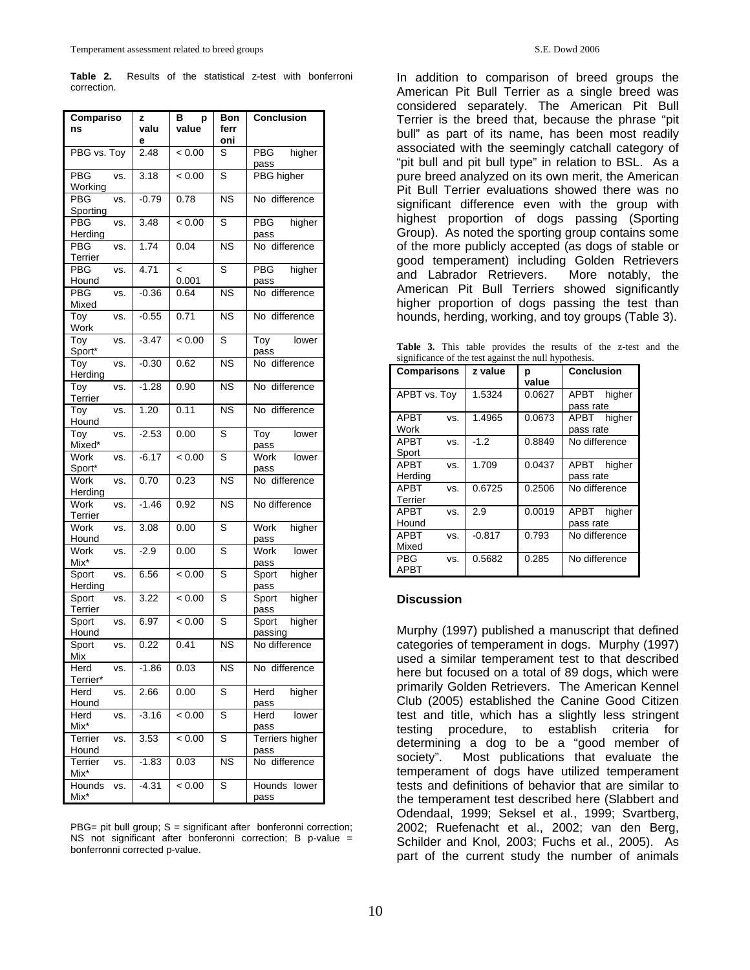**Table 2.** Results of the statistical z-test with bonferroni correction.

| Compariso<br>ns                    | z<br>valu | В<br>p<br>value                   | <b>Bon</b><br>ferr     | <b>Conclusion</b>            |
|------------------------------------|-----------|-----------------------------------|------------------------|------------------------------|
| PBG vs. Toy                        | е<br>2.48 | < 0.00                            | oni<br>S               | <b>PBG</b><br>higher         |
| <b>PBG</b><br>VS.<br>Working       | 3.18      | < 0.00                            | S                      | pass<br><b>PBG</b> higher    |
| PBG<br>VS.<br>Sporting             | $-0.79$   | 0.78                              | $\overline{\text{NS}}$ | No difference                |
| $\overline{PBG}$<br>VS.<br>Herding | 3.48      | < 0.00                            | S                      | <b>PBG</b><br>higher<br>pass |
| PBG<br>VS.<br>Terrier              | 1.74      | 0.04                              | <b>NS</b>              | No difference                |
| PBG<br>VS.<br>Hound                | 4.71      | $\overline{\phantom{a}}$<br>0.001 | S                      | PBG<br>higher<br>pass        |
| PBG<br>VS.<br>Mixed                | $-0.36$   | 0.64                              | <b>NS</b>              | No difference                |
| Toy<br>VS.<br>Work                 | $-0.55$   | 0.71                              | <b>NS</b>              | No difference                |
| Toy<br>VS.<br>Sport*               | $-3.47$   | < 0.00                            | S                      | lower<br>Тоу<br>pass         |
| Toy<br>VS.<br>Herding              | $-0.30$   | 0.62                              | <b>NS</b>              | No difference                |
| Toy<br>VS.<br>Terrier              | $-1.28$   | 0.90                              | <b>NS</b>              | No difference                |
| Toy<br>VS.<br>Hound                | 1.20      | 0.11                              | <b>NS</b>              | No difference                |
| Toy<br>VS.<br>Mixed*               | $-2.53$   | 0.00                              | S                      | Toy<br>lower<br>pass         |
| Work<br>VS.<br>Sport*              | $-6.17$   | < 0.00                            | S                      | Work<br>lower<br>pass        |
| Work<br>VS.<br>Herding             | 0.70      | 0.23                              | <b>NS</b>              | No difference                |
| Work<br>VS.<br>Terrier             | $-1.46$   | 0.92                              | <b>NS</b>              | No difference                |
| Work<br>VS.<br>Hound               | 3.08      | 0.00                              | S                      | Work<br>higher<br>pass       |
| Work<br>VS.<br>Mix*                | $-2.9$    | 0.00                              | S                      | <b>Work</b><br>lower<br>pass |
| Sport<br>VS.<br>Herding            | 6.56      | < 0.00                            | S                      | higher<br>Sport<br>pass      |
| Sport<br>VS.<br>Terrier            | 3.22      | < 0.00                            | S                      | higher<br>Sport<br>pass      |
| Sport<br>VS.<br>Hound              | 6.97      | < 0.00                            | S                      | higher<br>Sport<br>passing   |
| Sport<br>VS.<br>Mix                | 0.22      | 0.41                              | <b>NS</b>              | No difference                |
| Herd<br>VS.<br>Terrier*            | $-1.86$   | 0.03                              | ΝS                     | No difference                |
| Herd<br>VS.<br>Hound               | 2.66      | 0.00                              | S                      | higher<br>Herd<br>pass       |
| Herd<br>VS.<br>Mix*                | $-3.16$   | < 0.00                            | S                      | Herd<br>lower<br>pass        |
| Terrier<br>vs.<br>Hound            | 3.53      | < 0.00                            | S                      | Terriers higher<br>pass      |
| Terrier<br>VS.<br>Mix*             | $-1.83$   | 0.03                              | <b>NS</b>              | No difference                |
| Hounds<br>VS.<br>Mix*              | $-4.31$   | < 0.00                            | S                      | Hounds<br>lower<br>pass      |

PBG= pit bull group; S = significant after bonferonni correction; NS not significant after bonferonni correction; B p-value = bonferronni corrected p-value.

In addition to comparison of breed groups the American Pit Bull Terrier as a single breed was considered separately. The American Pit Bull Terrier is the breed that, because the phrase "pit bull" as part of its name, has been most readily associated with the seemingly catchall category of "pit bull and pit bull type" in relation to BSL. As a pure breed analyzed on its own merit, the American Pit Bull Terrier evaluations showed there was no significant difference even with the group with highest proportion of dogs passing (Sporting Group). As noted the sporting group contains some of the more publicly accepted (as dogs of stable or good temperament) including Golden Retrievers and Labrador Retrievers. More notably, the American Pit Bull Terriers showed significantly higher proportion of dogs passing the test than hounds, herding, working, and toy groups (Table 3).

**Table 3.** This table provides the results of the z-test and the significance of the test against the null hypothesis.

| $\alpha$ and $\alpha$ and $\alpha$ are $\alpha$ and $\alpha$ are $\alpha$ and $\alpha$ and $\alpha$ are $\alpha$ |     |          |            |                             |  |
|------------------------------------------------------------------------------------------------------------------|-----|----------|------------|-----------------------------|--|
| <b>Comparisons</b>                                                                                               |     | z value  | р<br>value | <b>Conclusion</b>           |  |
| APBT vs. Toy                                                                                                     |     | 1.5324   | 0.0627     | higher<br>APBT<br>pass rate |  |
| <b>APBT</b><br>Work                                                                                              | VS. | 1.4965   | 0.0673     | APBT higher<br>pass rate    |  |
| APBT<br>Sport                                                                                                    | VS. | $-1.2$   | 0.8849     | No difference               |  |
| <b>APBT</b><br>Herding                                                                                           | VS. | 1.709    | 0.0437     | APBT higher<br>pass rate    |  |
| <b>APBT</b><br>Terrier                                                                                           | VS. | 0.6725   | 0.2506     | No difference               |  |
| <b>APBT</b><br>Hound                                                                                             | VS. | 2.9      | 0.0019     | higher<br>APBT<br>pass rate |  |
| <b>APBT</b><br>Mixed                                                                                             | VS. | $-0.817$ | 0.793      | No difference               |  |
| PBG<br>APBT                                                                                                      | VS. | 0.5682   | 0.285      | No difference               |  |

#### **Discussion**

Murphy (1997) published a manuscript that defined categories of temperament in dogs. Murphy (1997) used a similar temperament test to that described here but focused on a total of 89 dogs, which were primarily Golden Retrievers. The American Kennel Club (2005) established the Canine Good Citizen test and title, which has a slightly less stringent testing procedure, to establish criteria for determining a dog to be a "good member of society". Most publications that evaluate the temperament of dogs have utilized temperament tests and definitions of behavior that are similar to the temperament test described here (Slabbert and Odendaal, 1999; Seksel et al., 1999; Svartberg, 2002; Ruefenacht et al., 2002; van den Berg, Schilder and Knol, 2003; Fuchs et al., 2005). As part of the current study the number of animals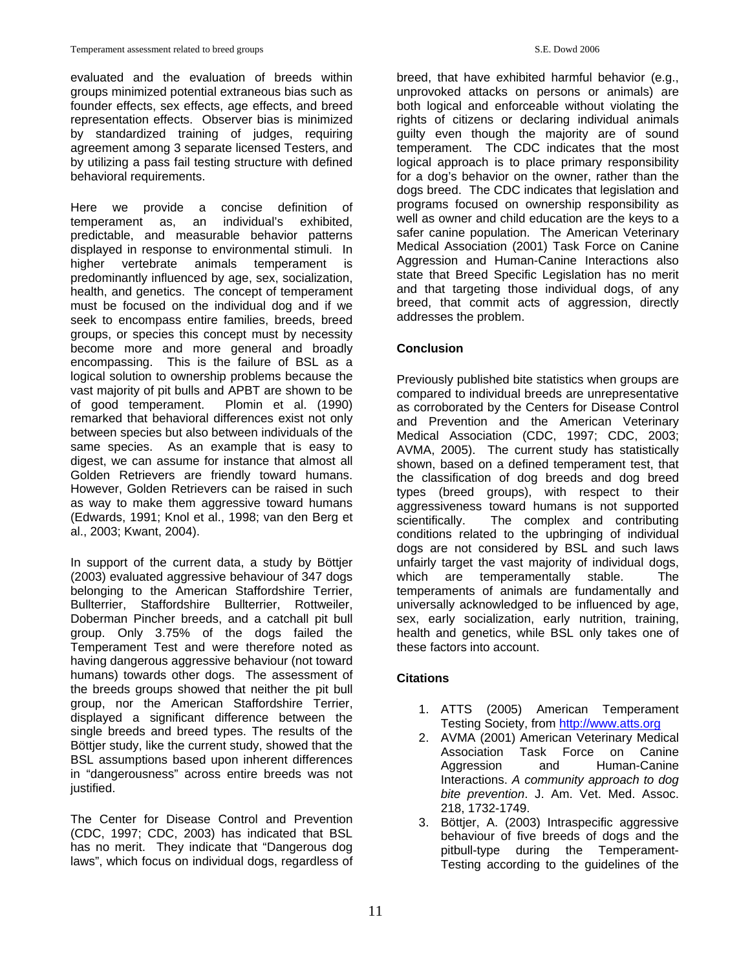evaluated and the evaluation of breeds within groups minimized potential extraneous bias such as founder effects, sex effects, age effects, and breed representation effects. Observer bias is minimized by standardized training of judges, requiring agreement among 3 separate licensed Testers, and by utilizing a pass fail testing structure with defined behavioral requirements.

Here we provide a concise definition of temperament as, an individual's exhibited, predictable, and measurable behavior patterns displayed in response to environmental stimuli. In higher vertebrate animals temperament is predominantly influenced by age, sex, socialization, health, and genetics. The concept of temperament must be focused on the individual dog and if we seek to encompass entire families, breeds, breed groups, or species this concept must by necessity become more and more general and broadly encompassing. This is the failure of BSL as a logical solution to ownership problems because the vast majority of pit bulls and APBT are shown to be of good temperament. Plomin et al. (1990) remarked that behavioral differences exist not only between species but also between individuals of the same species. As an example that is easy to digest, we can assume for instance that almost all Golden Retrievers are friendly toward humans. However, Golden Retrievers can be raised in such as way to make them aggressive toward humans (Edwards, 1991; Knol et al., 1998; van den Berg et al., 2003; Kwant, 2004).

In support of the current data, a study by Böttjer (2003) evaluated aggressive behaviour of 347 dogs belonging to the American Staffordshire Terrier, Bullterrier, Staffordshire Bullterrier, Rottweiler, Doberman Pincher breeds, and a catchall pit bull group. Only 3.75% of the dogs failed the Temperament Test and were therefore noted as having dangerous aggressive behaviour (not toward humans) towards other dogs. The assessment of the breeds groups showed that neither the pit bull group, nor the American Staffordshire Terrier, displayed a significant difference between the single breeds and breed types. The results of the Böttjer study, like the current study, showed that the BSL assumptions based upon inherent differences in "dangerousness" across entire breeds was not justified.

The Center for Disease Control and Prevention (CDC, 1997; CDC, 2003) has indicated that BSL has no merit. They indicate that "Dangerous dog laws", which focus on individual dogs, regardless of breed, that have exhibited harmful behavior (e.g., unprovoked attacks on persons or animals) are both logical and enforceable without violating the rights of citizens or declaring individual animals guilty even though the majority are of sound temperament. The CDC indicates that the most logical approach is to place primary responsibility for a dog's behavior on the owner, rather than the dogs breed. The CDC indicates that legislation and programs focused on ownership responsibility as well as owner and child education are the keys to a safer canine population. The American Veterinary Medical Association (2001) Task Force on Canine Aggression and Human-Canine Interactions also state that Breed Specific Legislation has no merit and that targeting those individual dogs, of any breed, that commit acts of aggression, directly addresses the problem.

# **Conclusion**

Previously published bite statistics when groups are compared to individual breeds are unrepresentative as corroborated by the Centers for Disease Control and Prevention and the American Veterinary Medical Association (CDC, 1997; CDC, 2003; AVMA, 2005). The current study has statistically shown, based on a defined temperament test, that the classification of dog breeds and dog breed types (breed groups), with respect to their aggressiveness toward humans is not supported scientifically. The complex and contributing conditions related to the upbringing of individual dogs are not considered by BSL and such laws unfairly target the vast majority of individual dogs, which are temperamentally stable. The temperaments of animals are fundamentally and universally acknowledged to be influenced by age, sex, early socialization, early nutrition, training, health and genetics, while BSL only takes one of these factors into account.

# **Citations**

- 1. ATTS (2005) American Temperament Testing Society, from [http://www.atts.org](http://www.atts.org/)
- 2. AVMA (2001) American Veterinary Medical Association Task Force Aggression and Human-Canine Interactions. *A community approach to dog bite prevention*. J. Am. Vet. Med. Assoc. 218, 1732-1749.
- 3. Böttjer, A. (2003) Intraspecific aggressive behaviour of five breeds of dogs and the pitbull-type during the Temperament-Testing according to the guidelines of the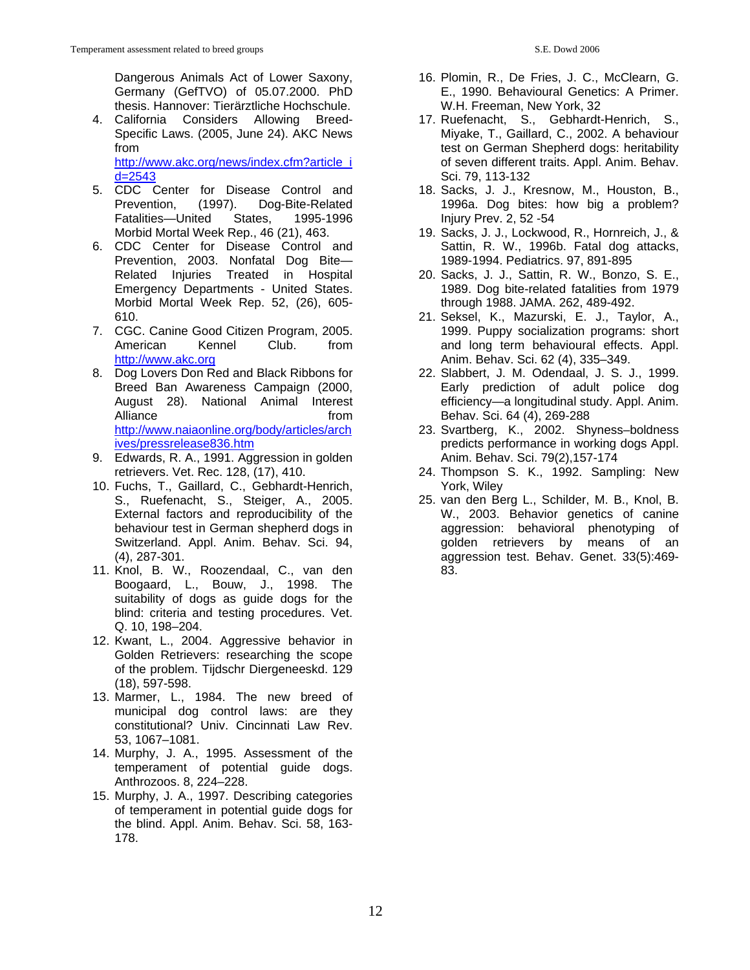Dangerous Animals Act of Lower Saxony, Germany (GefTVO) of 05.07.2000. PhD thesis. Hannover: Tierärztliche Hochschule.

- 4. California Considers Allowing Breed-Specific Laws. (2005, June 24). AKC News from [http://www.akc.org/news/index.cfm?article\\_i](http://www.akc.org/news/index.cfm?article_id=2543) [d=2543](http://www.akc.org/news/index.cfm?article_id=2543)
- 5. CDC Center for Disease Control and Prevention, (1997). Dog-Bite-Related<br>Fatalities—United States, 1995-1996 Fatalities—United States, 1995-1996 Morbid Mortal Week Rep., 46 (21), 463.
- 6. CDC Center for Disease Control and Prevention, 2003. Nonfatal Dog Bite— Related Injuries Treated in Hospital Emergency Departments - United States. Morbid Mortal Week Rep. 52, (26), 605- 610.
- 7. CGC. Canine Good Citizen Program, 2005. American Kennel Club. from [http://www.akc.org](http://www.akc.org/)
- 8. Dog Lovers Don Red and Black Ribbons for Breed Ban Awareness Campaign (2000, August 28). National Animal Interest Alliance from the from [http://www.naiaonline.org/body/articles/arch](http://www.naiaonline.org/body/articles/archives/pressrelease836.htm) [ives/pressrelease836.htm](http://www.naiaonline.org/body/articles/archives/pressrelease836.htm)
- 9. Edwards, R. A., 1991. Aggression in golden retrievers. Vet. Rec. 128, (17), 410.
- 10. Fuchs, T., Gaillard, C., Gebhardt-Henrich, S., Ruefenacht, S., Steiger, A., 2005. External factors and reproducibility of the behaviour test in German shepherd dogs in Switzerland. Appl. Anim. Behav. Sci. 94, (4), 287-301.
- 11. Knol, B. W., Roozendaal, C., van den Boogaard, L., Bouw, J., 1998. The suitability of dogs as guide dogs for the blind: criteria and testing procedures. Vet. Q. 10, 198–204.
- 12. Kwant, L., 2004. Aggressive behavior in Golden Retrievers: researching the scope of the problem. Tijdschr Diergeneeskd. 129 (18), 597-598.
- 13. Marmer, L., 1984. The new breed of municipal dog control laws: are they constitutional? Univ. Cincinnati Law Rev. 53, 1067–1081.
- 14. Murphy, J. A., 1995. Assessment of the temperament of potential guide dogs. Anthrozoos. 8, 224–228.
- 15. Murphy, J. A., 1997. Describing categories of temperament in potential guide dogs for the blind. Appl. Anim. Behav. Sci. 58, 163- 178.
- 16. Plomin, R., De Fries, J. C., McClearn, G. E., 1990. Behavioural Genetics: A Primer. W.H. Freeman, New York, 32
- 17. Ruefenacht, S., Gebhardt-Henrich, S., Miyake, T., Gaillard, C., 2002. A behaviour test on German Shepherd dogs: heritability of seven different traits. Appl. Anim. Behav. Sci. 79, 113-132
- 18. Sacks, J. J., Kresnow, M., Houston, B., 1996a. Dog bites: how big a problem? Injury Prev. 2, 52 -54
- 19. Sacks, J. J., Lockwood, R., Hornreich, J., & Sattin, R. W., 1996b. Fatal dog attacks, 1989-1994. Pediatrics. 97, 891-895
- 20. Sacks, J. J., Sattin, R. W., Bonzo, S. E., 1989. Dog bite-related fatalities from 1979 through 1988. JAMA. 262, 489-492.
- 21. Seksel, K., Mazurski, E. J., Taylor, A., 1999. Puppy socialization programs: short and long term behavioural effects. Appl. Anim. Behav. Sci. 62 (4), 335–349.
- 22. Slabbert, J. M. Odendaal, J. S. J., 1999. Early prediction of adult police dog efficiency—a longitudinal study. Appl. Anim. Behav. Sci. 64 (4), 269-288
- 23. Svartberg, K., 2002. Shyness–boldness predicts performance in working dogs Appl. Anim. Behav. Sci. 79(2),157-174
- 24. Thompson S. K., 1992. Sampling: New York, Wiley
- 25. van den Berg L., Schilder, M. B., Knol, B. W., 2003. Behavior genetics of canine aggression: behavioral phenotyping of golden retrievers by means of an aggression test. Behav. Genet. 33(5):469- 83.